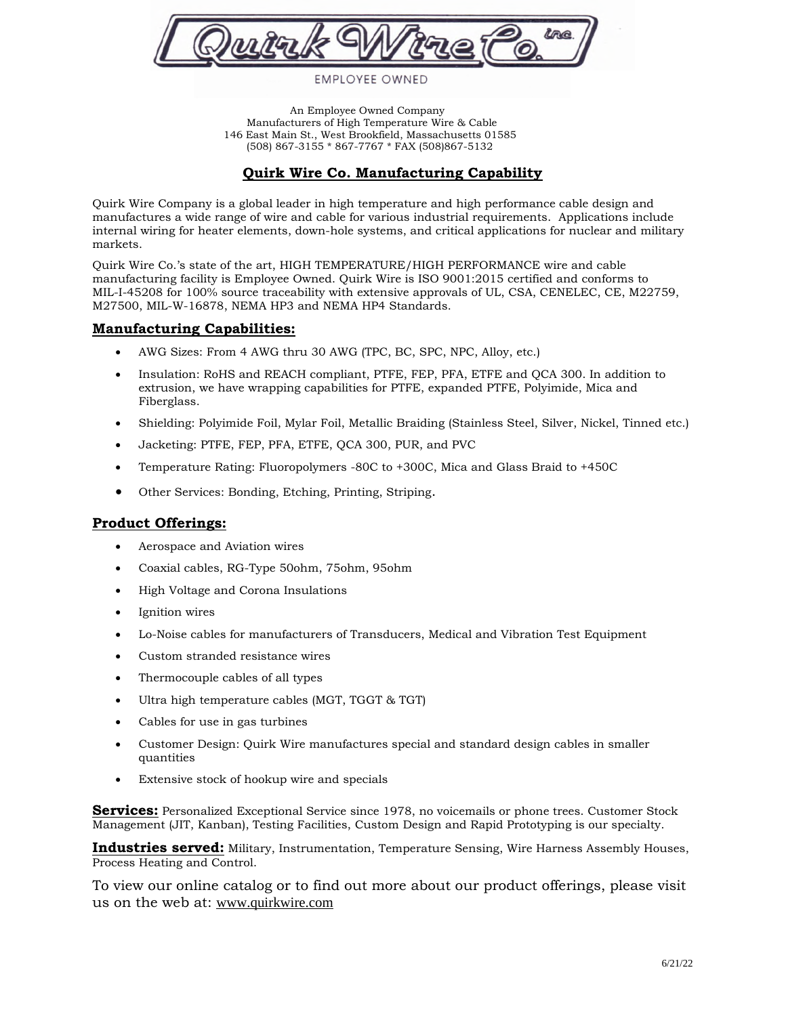

## **EMPLOYEE OWNED**

 An Employee Owned Company Manufacturers of High Temperature Wire & Cable 146 East Main St., West Brookfield, Massachusetts 01585 (508) 867-3155 \* 867-7767 \* FAX (508)867-5132

# **Quirk Wire Co. Manufacturing Capability**

Quirk Wire Company is a global leader in high temperature and high performance cable design and manufactures a wide range of wire and cable for various industrial requirements. Applications include internal wiring for heater elements, down-hole systems, and critical applications for nuclear and military markets.

Quirk Wire Co.'s state of the art, HIGH TEMPERATURE/HIGH PERFORMANCE wire and cable manufacturing facility is Employee Owned. Quirk Wire is ISO 9001:2015 certified and conforms to MIL-I-45208 for 100% source traceability with extensive approvals of UL, CSA, CENELEC, CE, M22759, M27500, MIL-W-16878, NEMA HP3 and NEMA HP4 Standards.

### **Manufacturing Capabilities:**

- AWG Sizes: From 4 AWG thru 30 AWG (TPC, BC, SPC, NPC, Alloy, etc.)
- Insulation: RoHS and REACH compliant, PTFE, FEP, PFA, ETFE and QCA 300. In addition to extrusion, we have wrapping capabilities for PTFE, expanded PTFE, Polyimide, Mica and Fiberglass.
- Shielding: Polyimide Foil, Mylar Foil, Metallic Braiding (Stainless Steel, Silver, Nickel, Tinned etc.)
- Jacketing: PTFE, FEP, PFA, ETFE, QCA 300, PUR, and PVC
- Temperature Rating: Fluoropolymers -80C to +300C, Mica and Glass Braid to +450C
- Other Services: Bonding, Etching, Printing, Striping.

### **Product Offerings:**

- Aerospace and Aviation wires
- Coaxial cables, RG-Type 50ohm, 75ohm, 95ohm
- High Voltage and Corona Insulations
- Ignition wires
- Lo-Noise cables for manufacturers of Transducers, Medical and Vibration Test Equipment
- Custom stranded resistance wires
- Thermocouple cables of all types
- Ultra high temperature cables (MGT, TGGT & TGT)
- Cables for use in gas turbines
- Customer Design: Quirk Wire manufactures special and standard design cables in smaller quantities
- Extensive stock of hookup wire and specials

**Services:** Personalized Exceptional Service since 1978, no voicemails or phone trees. Customer Stock Management (JIT, Kanban), Testing Facilities, Custom Design and Rapid Prototyping is our specialty.

**Industries served:** Military, Instrumentation, Temperature Sensing, Wire Harness Assembly Houses, Process Heating and Control.

To view our online catalog or to find out more about our product offerings, please visit us on the web at: [www.quirkwire.com](http://www.quirkwire.com/)